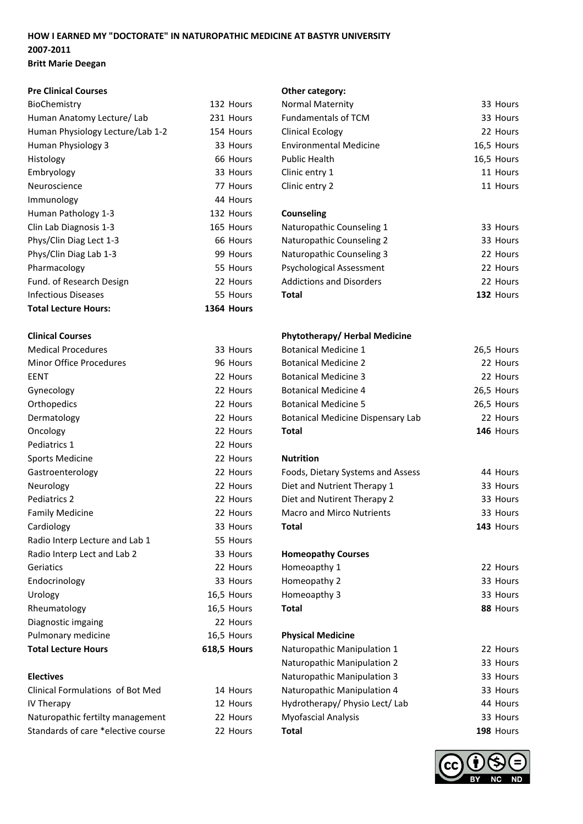# **HOW I EARNED MY "DOCTORATE" IN NATUROPATHIC MEDICINE AT BASTYR UNIVERSITY 2007-2011 Britt Marie Deegan**

44 Hours

**1364 Hours** 

### **Pre Clinical Courses COUTS Other category:**

| BioChemistry                     |
|----------------------------------|
| Human Anatomy Lecture/ Lab       |
| Human Physiology Lecture/Lab 1-2 |
| Human Physiology 3               |
| Histology                        |
| Embryology                       |
| Neuroscience                     |
| Immunology                       |
| Human Pathology 1-3              |
| Clin Lab Diagnosis 1-3           |
| Phys/Clin Diag Lect 1-3          |
| Phys/Clin Diag Lab 1-3           |
| Pharmacology                     |
| Fund. of Research Design         |
| Infectious Diseases              |
| <b>Total Lecture Hours:</b>      |
|                                  |

| <b>Nedical Procedures</b>      | 33 HOURS    | Botanical Medicine 1              | Z6,5 HOURS |
|--------------------------------|-------------|-----------------------------------|------------|
| <b>Minor Office Procedures</b> | 96 Hours    | <b>Botanical Medicine 2</b>       | 22 Hours   |
| EENT                           | 22 Hours    | <b>Botanical Medicine 3</b>       | 22 Hours   |
| Gynecology                     | 22 Hours    | <b>Botanical Medicine 4</b>       | 26,5 Hours |
| Orthopedics                    | 22 Hours    | <b>Botanical Medicine 5</b>       | 26,5 Hours |
| Dermatology                    | 22 Hours    | Botanical Medicine Dispensary Lab | 22 Hours   |
| Oncology                       | 22 Hours    | <b>Total</b>                      | 146 Hours  |
| Pediatrics 1                   | 22 Hours    |                                   |            |
| <b>Sports Medicine</b>         | 22 Hours    | <b>Nutrition</b>                  |            |
| Gastroenterology               | 22 Hours    | Foods, Dietary Systems and Assess | 44 Hours   |
| Neurology                      | 22 Hours    | Diet and Nutrient Therapy 1       | 33 Hours   |
| Pediatrics 2                   | 22 Hours    | Diet and Nutirent Therapy 2       | 33 Hours   |
| <b>Family Medicine</b>         | 22 Hours    | <b>Macro and Mirco Nutrients</b>  | 33 Hours   |
| Cardiology                     | 33 Hours    | <b>Total</b>                      | 143 Hours  |
| Radio Interp Lecture and Lab 1 | 55 Hours    |                                   |            |
| Radio Interp Lect and Lab 2    | 33 Hours    | <b>Homeopathy Courses</b>         |            |
| Geriatics                      | 22 Hours    | Homeoapthy 1                      | 22 Hours   |
| Endocrinology                  | 33 Hours    | Homeopathy 2                      | 33 Hours   |
| Urology                        | 16,5 Hours  | Homeoapthy 3                      | 33 Hours   |
| Rheumatology                   | 16,5 Hours  | <b>Total</b>                      | 88 Hours   |
| Diagnostic imgaing             | 22 Hours    |                                   |            |
| Pulmonary medicine             | 16,5 Hours  | <b>Physical Medicine</b>          |            |
| <b>Total Lecture Hours</b>     | 618,5 Hours | Naturopathic Manipulation 1       | 22 Hours   |
|                                |             |                                   |            |

| Clinical Formulations of Bot Med   |  |
|------------------------------------|--|
| IV Therapy                         |  |
| Naturopathic fertilty management   |  |
| Standards of care *elective course |  |

| BioChemistry                     | 132 Hours | <b>Normal Maternity</b>       | 33 Hours   |
|----------------------------------|-----------|-------------------------------|------------|
| Human Anatomy Lecture/ Lab       | 231 Hours | Fundamentals of TCM           | 33 Hours   |
| Human Physiology Lecture/Lab 1-2 | 154 Hours | Clinical Ecology              | 22 Hours   |
| Human Physiology 3               | 33 Hours  | <b>Environmental Medicine</b> | 16,5 Hours |
| Histology                        | 66 Hours  | Public Health                 | 16,5 Hours |
| Embryology                       | 33 Hours  | Clinic entry 1                | 11 Hours   |
| Neuroscience                     | 77 Hours  | Clinic entry 2                | 11 Hours   |
|                                  |           |                               |            |

# 132 Hours **Counseling**

| 165 Hours | Naturopathic Counseling 1       | 33 Hours  |
|-----------|---------------------------------|-----------|
| 66 Hours  | Naturopathic Counseling 2       | 33 Hours  |
| 99 Hours  | Naturopathic Counseling 3       | 22 Hours  |
| 55 Hours  | <b>Psychological Assessment</b> | 22 Hours  |
| 22 Hours  | <b>Addictions and Disorders</b> | 22 Hours  |
| 55 Hours  | Total                           | 132 Hours |
|           |                                 |           |

# **Clinical Courses Phytotherapy/ Herbal Medicine**<br>Medical Procedures **Party 1922 Hours Potenical Medicine** 1

| Medical Procedures      | 33 Hours | <b>Botanical Medicine 1</b>       | 26,5 Hours |
|-------------------------|----------|-----------------------------------|------------|
| Minor Office Procedures | 96 Hours | <b>Botanical Medicine 2</b>       | 22 Hours   |
| EENT                    | 22 Hours | <b>Botanical Medicine 3</b>       | 22 Hours   |
| Gynecology              | 22 Hours | <b>Botanical Medicine 4</b>       | 26,5 Hours |
| Orthopedics             | 22 Hours | <b>Botanical Medicine 5</b>       | 26,5 Hours |
| Dermatology             | 22 Hours | Botanical Medicine Dispensary Lab | 22 Hours   |
| Oncology                | 22 Hours | Total                             | 146 Hours  |

### 22 Hours **Nutrition**

| Gastroenterology       | 22 Hours | Foods, Dietary Systems and Assess | 44 Hours    |
|------------------------|----------|-----------------------------------|-------------|
| Neurology              | 22 Hours | Diet and Nutrient Therapy 1       | 33 Hours    |
| Pediatrics 2           | 22 Hours | Diet and Nutirent Therapy 2       | 33 Hours    |
| <b>Family Medicine</b> | 22 Hours | <b>Macro and Mirco Nutrients</b>  | 33 Hours    |
| Cardiology             | 33 Hours | Total                             | $143$ Hours |

### **Radio 33 Hours Homeopathy Courses**

| Geriatics     | 22 Hours   | Homeoapthy 1 | 22 Hours |
|---------------|------------|--------------|----------|
| Endocrinology | 33 Hours   | Homeopathy 2 | 33 Hours |
| Urology       | 16,5 Hours | Homeoapthy 3 | 33 Hours |
| Rheumatology  | 16.5 Hours | Total        | 88 Hours |
|               |            |              |          |

# 16,5 Hours **Physical Medicine**

| <b>Total Lecture Hours</b>         | <b>618,5 Hours</b> | Naturopathic Manipulation 1    | 22 Hours  |
|------------------------------------|--------------------|--------------------------------|-----------|
|                                    |                    | Naturopathic Manipulation 2    | 33 Hours  |
| <b>Electives</b>                   |                    | Naturopathic Manipulation 3    | 33 Hours  |
| Clinical Formulations of Bot Med   | 14 Hours           | Naturopathic Manipulation 4    | 33 Hours  |
| IV Therapy                         | 12 Hours           | Hydrotherapy/ Physio Lect/ Lab | 44 Hours  |
| Naturopathic fertilty management   | 22 Hours           | <b>Myofascial Analysis</b>     | 33 Hours  |
| Standards of care *elective course | 22 Hours           | Total                          | 198 Hours |
|                                    |                    |                                |           |